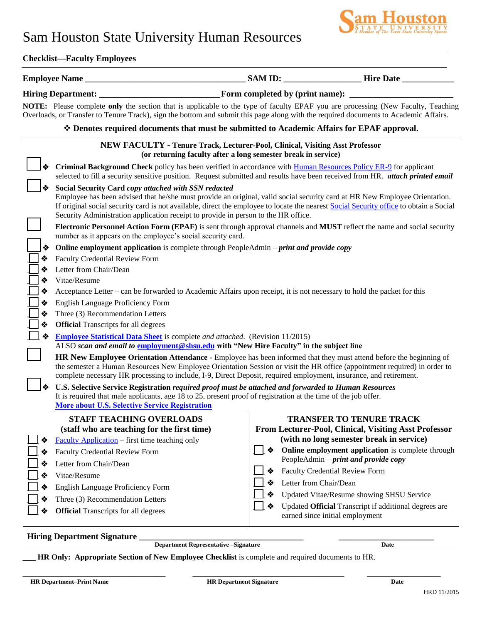# Sam Houston State University Human Resources



### **Checklist—Faculty Employees**

## **Employee Name \_\_\_\_\_\_\_\_\_\_\_\_\_\_\_\_\_\_\_\_\_\_\_\_\_\_\_\_\_\_\_\_\_\_\_\_\_ SAM ID: \_\_\_\_\_\_\_\_\_\_\_\_\_\_\_\_\_\_ Hire Date \_\_\_\_\_\_\_\_\_\_\_\_**

## **Hiring Department: \_\_\_\_\_\_\_\_\_\_\_\_\_\_\_\_\_\_\_\_\_\_\_\_\_\_\_\_Form completed by (print name): \_\_\_\_\_\_\_\_\_\_\_\_\_\_\_\_\_\_\_\_\_\_\_\_**

 **NOTE:** Please complete **only** the section that is applicable to the type of faculty EPAF you are processing (New Faculty, Teaching Overloads, or Transfer to Tenure Track), sign the bottom and submit this page along with the required documents to Academic Affairs.

#### **Denotes required documents that must be submitted to Academic Affairs for EPAF approval.**

|                                                                                            | NEW FACULTY - Tenure Track, Lecturer-Pool, Clinical, Visiting Asst Professor<br>(or returning faculty after a long semester break in service)                                                                                                                                                                                                                                                                                                                                                                                                                                                                 |                                                                                                                                                                                                                                                       |  |  |  |  |  |  |
|--------------------------------------------------------------------------------------------|---------------------------------------------------------------------------------------------------------------------------------------------------------------------------------------------------------------------------------------------------------------------------------------------------------------------------------------------------------------------------------------------------------------------------------------------------------------------------------------------------------------------------------------------------------------------------------------------------------------|-------------------------------------------------------------------------------------------------------------------------------------------------------------------------------------------------------------------------------------------------------|--|--|--|--|--|--|
|                                                                                            | Criminal Background Check policy has been verified in accordance with Human Resources Policy ER-9 for applicant                                                                                                                                                                                                                                                                                                                                                                                                                                                                                               | selected to fill a security sensitive position. Request submitted and results have been received from HR. attach printed email                                                                                                                        |  |  |  |  |  |  |
|                                                                                            | Social Security Card copy attached with SSN redacted<br>Employee has been advised that he/she must provide an original, valid social security card at HR New Employee Orientation.<br>If original social security card is not available, direct the employee to locate the nearest Social Security office to obtain a Social<br>Security Administration application receipt to provide in person to the HR office.<br>Electronic Personnel Action Form (EPAF) is sent through approval channels and MUST reflect the name and social security<br>number as it appears on the employee's social security card. |                                                                                                                                                                                                                                                       |  |  |  |  |  |  |
|                                                                                            |                                                                                                                                                                                                                                                                                                                                                                                                                                                                                                                                                                                                               |                                                                                                                                                                                                                                                       |  |  |  |  |  |  |
|                                                                                            | <b>Online employment application</b> is complete through PeopleAdmin – print and provide copy                                                                                                                                                                                                                                                                                                                                                                                                                                                                                                                 |                                                                                                                                                                                                                                                       |  |  |  |  |  |  |
| ❖                                                                                          | <b>Faculty Credential Review Form</b>                                                                                                                                                                                                                                                                                                                                                                                                                                                                                                                                                                         |                                                                                                                                                                                                                                                       |  |  |  |  |  |  |
| ❖                                                                                          | Letter from Chair/Dean                                                                                                                                                                                                                                                                                                                                                                                                                                                                                                                                                                                        |                                                                                                                                                                                                                                                       |  |  |  |  |  |  |
| ❖                                                                                          | Vitae/Resume                                                                                                                                                                                                                                                                                                                                                                                                                                                                                                                                                                                                  |                                                                                                                                                                                                                                                       |  |  |  |  |  |  |
| ❖                                                                                          | Acceptance Letter – can be forwarded to Academic Affairs upon receipt, it is not necessary to hold the packet for this                                                                                                                                                                                                                                                                                                                                                                                                                                                                                        |                                                                                                                                                                                                                                                       |  |  |  |  |  |  |
| ❖                                                                                          | English Language Proficiency Form                                                                                                                                                                                                                                                                                                                                                                                                                                                                                                                                                                             |                                                                                                                                                                                                                                                       |  |  |  |  |  |  |
| ❖                                                                                          | Three (3) Recommendation Letters<br><b>Official</b> Transcripts for all degrees                                                                                                                                                                                                                                                                                                                                                                                                                                                                                                                               |                                                                                                                                                                                                                                                       |  |  |  |  |  |  |
| ❖                                                                                          |                                                                                                                                                                                                                                                                                                                                                                                                                                                                                                                                                                                                               |                                                                                                                                                                                                                                                       |  |  |  |  |  |  |
|                                                                                            | <b>Employee Statistical Data Sheet</b> is complete and attached. (Revision 11/2015)<br>ALSO scan and email to employment@shsu.edu with "New Hire Faculty" in the subject line                                                                                                                                                                                                                                                                                                                                                                                                                                 |                                                                                                                                                                                                                                                       |  |  |  |  |  |  |
|                                                                                            | complete necessary HR processing to include, I-9, Direct Deposit, required employment, insurance, and retirement.                                                                                                                                                                                                                                                                                                                                                                                                                                                                                             | <b>HR New Employee Orientation Attendance -</b> Employee has been informed that they must attend before the beginning of<br>the semester a Human Resources New Employee Orientation Session or visit the HR office (appointment required) in order to |  |  |  |  |  |  |
|                                                                                            | U.S. Selective Service Registration required proof must be attached and forwarded to Human Resources<br>It is required that male applicants, age 18 to 25, present proof of registration at the time of the job offer.<br><b>More about U.S. Selective Service Registration</b>                                                                                                                                                                                                                                                                                                                               |                                                                                                                                                                                                                                                       |  |  |  |  |  |  |
|                                                                                            | <b>STAFF TEACHING OVERLOADS</b>                                                                                                                                                                                                                                                                                                                                                                                                                                                                                                                                                                               | <b>TRANSFER TO TENURE TRACK</b>                                                                                                                                                                                                                       |  |  |  |  |  |  |
|                                                                                            | (staff who are teaching for the first time)                                                                                                                                                                                                                                                                                                                                                                                                                                                                                                                                                                   | From Lecturer-Pool, Clinical, Visiting Asst Professor                                                                                                                                                                                                 |  |  |  |  |  |  |
|                                                                                            | <b>Faculty Application</b> – first time teaching only                                                                                                                                                                                                                                                                                                                                                                                                                                                                                                                                                         | (with no long semester break in service)                                                                                                                                                                                                              |  |  |  |  |  |  |
|                                                                                            | <b>Faculty Credential Review Form</b>                                                                                                                                                                                                                                                                                                                                                                                                                                                                                                                                                                         | Online employment application is complete through                                                                                                                                                                                                     |  |  |  |  |  |  |
|                                                                                            | Letter from Chair/Dean                                                                                                                                                                                                                                                                                                                                                                                                                                                                                                                                                                                        | PeopleAdmin - print and provide copy<br><b>Faculty Credential Review Form</b>                                                                                                                                                                         |  |  |  |  |  |  |
|                                                                                            | Vitae/Resume                                                                                                                                                                                                                                                                                                                                                                                                                                                                                                                                                                                                  | ❖<br>Letter from Chair/Dean<br>❖                                                                                                                                                                                                                      |  |  |  |  |  |  |
|                                                                                            | English Language Proficiency Form                                                                                                                                                                                                                                                                                                                                                                                                                                                                                                                                                                             | ❖                                                                                                                                                                                                                                                     |  |  |  |  |  |  |
|                                                                                            | Three (3) Recommendation Letters                                                                                                                                                                                                                                                                                                                                                                                                                                                                                                                                                                              | Updated Vitae/Resume showing SHSU Service                                                                                                                                                                                                             |  |  |  |  |  |  |
| ❖                                                                                          | <b>Official</b> Transcripts for all degrees                                                                                                                                                                                                                                                                                                                                                                                                                                                                                                                                                                   | ❖<br>Updated Official Transcript if additional degrees are<br>earned since initial employment                                                                                                                                                         |  |  |  |  |  |  |
| <b>Hiring Department Signature</b><br><b>Department Representative - Signature</b><br>Date |                                                                                                                                                                                                                                                                                                                                                                                                                                                                                                                                                                                                               |                                                                                                                                                                                                                                                       |  |  |  |  |  |  |

**LET APPROPED EXECTION OF NEW EMPLOYEE Checklist** is complete and required documents to HR.